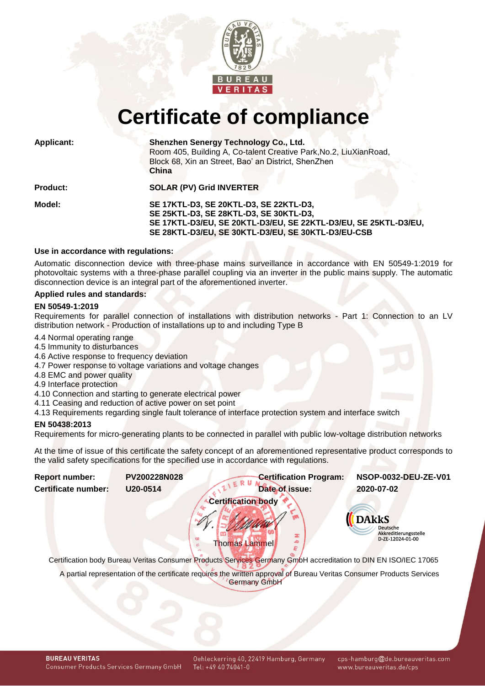

# **Certificate of compliance**

| <b>Applicant:</b> | Shenzhen Senergy Technology Co., Ltd.<br>Room 405, Building A, Co-talent Creative Park, No.2, LiuXianRoad,<br>Block 68, Xin an Street, Bao' an District, ShenZhen<br>China                                |  |  |
|-------------------|-----------------------------------------------------------------------------------------------------------------------------------------------------------------------------------------------------------|--|--|
| <b>Product:</b>   | <b>SOLAR (PV) Grid INVERTER</b>                                                                                                                                                                           |  |  |
| Model:            | SE 17KTL-D3, SE 20KTL-D3, SE 22KTL-D3,<br>SE 25KTL-D3, SE 28KTL-D3, SE 30KTL-D3,<br>SE 17KTL-D3/EU, SE 20KTL-D3/EU, SE 22KTL-D3/EU, SE 25KTL-D3/EU,<br>SE 28KTL-D3/EU, SE 30KTL-D3/EU, SE 30KTL-D3/EU-CSB |  |  |

# **Use in accordance with regulations:**

Automatic disconnection device with three-phase mains surveillance in accordance with EN 50549-1:2019 for photovoltaic systems with a three-phase parallel coupling via an inverter in the public mains supply. The automatic disconnection device is an integral part of the aforementioned inverter.

### **Applied rules and standards:**

#### **EN 50549-1:2019**

Requirements for parallel connection of installations with distribution networks - Part 1: Connection to an LV distribution network - Production of installations up to and including Type B

- 4.4 Normal operating range
- 4.5 Immunity to disturbances
- 4.6 Active response to frequency deviation
- 4.7 Power response to voltage variations and voltage changes
- 4.8 EMC and power quality
- 4.9 Interface protection
- 4.10 Connection and starting to generate electrical power
- 4.11 Ceasing and reduction of active power on set point
- 4.13 Requirements regarding single fault tolerance of interface protection system and interface switch

## **EN 50438:2013**

Requirements for micro-generating plants to be connected in parallel with public low-voltage distribution networks

At the time of issue of this certificate the safety concept of an aforementioned representative product corresponds to the valid safety specifications for the specified use in accordance with regulations.

<span id="page-0-1"></span><span id="page-0-0"></span>

| <b>Report number:</b> | PV200228N028 | <b>Certification Program:</b>                                                                                                                 | NSOP-0032-DEU-ZE-V01                                                         |  |
|-----------------------|--------------|-----------------------------------------------------------------------------------------------------------------------------------------------|------------------------------------------------------------------------------|--|
| Certificate number:   | U20-0514     | Date of issue:                                                                                                                                | 2020-07-02                                                                   |  |
|                       |              | <b>Certification body</b>                                                                                                                     |                                                                              |  |
|                       |              | <b>Thomas Lammel</b>                                                                                                                          | <b>DAkkS</b><br><b>Deutsche</b><br>Akkreditierungsstelle<br>D-ZE-12024-01-00 |  |
|                       |              | Certification body Bureau Veritas Consumer Products Services Germany GmbH accreditation to DIN EN ISO/IEC 17065                               |                                                                              |  |
|                       |              | A partial representation of the certificate requires the written approval of Bureau Veritas Consumer Products Services<br><b>Germany GmbH</b> |                                                                              |  |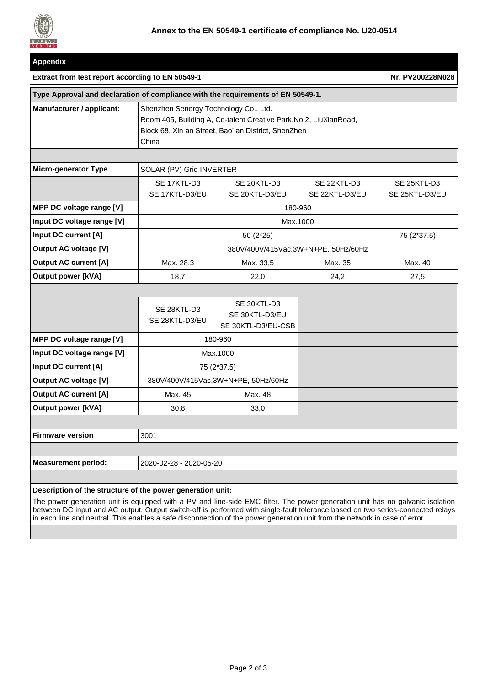

| <b>Appendix</b>                                                                  |                                                                                                                                                                            |                                                     |                               |                               |  |  |
|----------------------------------------------------------------------------------|----------------------------------------------------------------------------------------------------------------------------------------------------------------------------|-----------------------------------------------------|-------------------------------|-------------------------------|--|--|
| Extract from test report according to EN 50549-1                                 | Nr. PV200228N028                                                                                                                                                           |                                                     |                               |                               |  |  |
| Type Approval and declaration of compliance with the requirements of EN 50549-1. |                                                                                                                                                                            |                                                     |                               |                               |  |  |
| Manufacturer / applicant:                                                        | Shenzhen Senergy Technology Co., Ltd.<br>Room 405, Building A, Co-talent Creative Park, No.2, LiuXianRoad,<br>Block 68, Xin an Street, Bao' an District, ShenZhen<br>China |                                                     |                               |                               |  |  |
|                                                                                  |                                                                                                                                                                            |                                                     |                               |                               |  |  |
| <b>Micro-generator Type</b>                                                      | SOLAR (PV) Grid INVERTER                                                                                                                                                   |                                                     |                               |                               |  |  |
|                                                                                  | SE 17KTL-D3<br>SE 17KTL-D3/EU                                                                                                                                              | SE 20KTL-D3<br>SE 20KTL-D3/EU                       | SE 22KTL-D3<br>SE 22KTL-D3/EU | SE 25KTL-D3<br>SE 25KTL-D3/EU |  |  |
| MPP DC voltage range [V]                                                         |                                                                                                                                                                            | 180-960                                             |                               |                               |  |  |
| Input DC voltage range [V]                                                       | Max.1000                                                                                                                                                                   |                                                     |                               |                               |  |  |
| Input DC current [A]                                                             | 50 (2*25)<br>75 (2*37.5)                                                                                                                                                   |                                                     |                               |                               |  |  |
| <b>Output AC voltage [V]</b>                                                     |                                                                                                                                                                            | 380V/400V/415Vac, 3W+N+PE, 50Hz/60Hz                |                               |                               |  |  |
| <b>Output AC current [A]</b>                                                     | Max. 28,3                                                                                                                                                                  | Max. 33,5                                           | Max. 35                       | Max. 40                       |  |  |
| <b>Output power [kVA]</b>                                                        | 18,7                                                                                                                                                                       | 22,0                                                | 24,2                          | 27,5                          |  |  |
|                                                                                  |                                                                                                                                                                            |                                                     |                               |                               |  |  |
|                                                                                  | SE 28KTL-D3<br>SE 28KTL-D3/EU                                                                                                                                              | SE 30KTL-D3<br>SE 30KTL-D3/EU<br>SE 30KTL-D3/EU-CSB |                               |                               |  |  |
| MPP DC voltage range [V]                                                         | 180-960                                                                                                                                                                    |                                                     |                               |                               |  |  |
| Input DC voltage range [V]                                                       | Max.1000                                                                                                                                                                   |                                                     |                               |                               |  |  |
| Input DC current [A]                                                             | 75 (2*37.5)                                                                                                                                                                |                                                     |                               |                               |  |  |
| <b>Output AC voltage [V]</b>                                                     | 380V/400V/415Vac,3W+N+PE, 50Hz/60Hz                                                                                                                                        |                                                     |                               |                               |  |  |
| <b>Output AC current [A]</b>                                                     | Max. 45                                                                                                                                                                    | Max. 48                                             |                               |                               |  |  |
| <b>Output power [kVA]</b>                                                        | 30,8                                                                                                                                                                       | 33,0                                                |                               |                               |  |  |
|                                                                                  |                                                                                                                                                                            |                                                     |                               |                               |  |  |
| <b>Firmware version</b>                                                          | 3001                                                                                                                                                                       |                                                     |                               |                               |  |  |
|                                                                                  |                                                                                                                                                                            |                                                     |                               |                               |  |  |
| <b>Measurement period:</b>                                                       | 2020-02-28 - 2020-05-20                                                                                                                                                    |                                                     |                               |                               |  |  |
|                                                                                  |                                                                                                                                                                            |                                                     |                               |                               |  |  |

# **Description of the structure of the power generation unit:**

The power generation unit is equipped with a PV and line-side EMC filter. The power generation unit has no galvanic isolation between DC input and AC output. Output switch-off is performed with single-fault tolerance based on two series-connected relays in each line and neutral. This enables a safe disconnection of the power generation unit from the network in case of error.